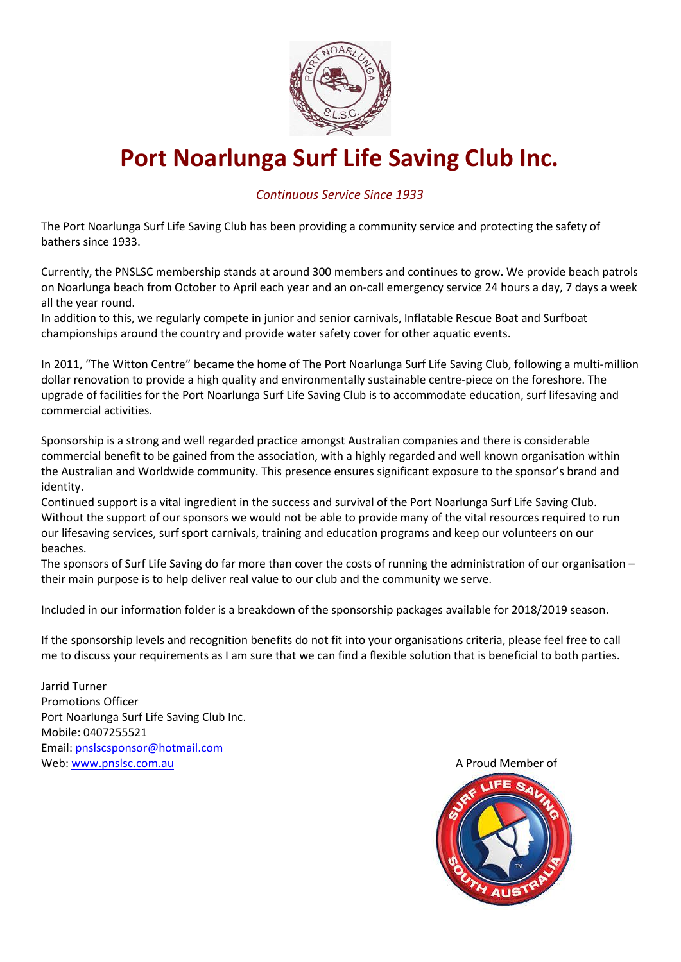

# **Port Noarlunga Surf Life Saving Club Inc.**

### *Continuous Service Since 1933*

The Port Noarlunga Surf Life Saving Club has been providing a community service and protecting the safety of bathers since 1933.

Currently, the PNSLSC membership stands at around 300 members and continues to grow. We provide beach patrols on Noarlunga beach from October to April each year and an on-call emergency service 24 hours a day, 7 days a week all the year round.

In addition to this, we regularly compete in junior and senior carnivals, Inflatable Rescue Boat and Surfboat championships around the country and provide water safety cover for other aquatic events.

In 2011, "The Witton Centre" became the home of The Port Noarlunga Surf Life Saving Club, following a multi-million dollar renovation to provide a high quality and environmentally sustainable centre-piece on the foreshore. The upgrade of facilities for the Port Noarlunga Surf Life Saving Club is to accommodate education, surf lifesaving and commercial activities.

Sponsorship is a strong and well regarded practice amongst Australian companies and there is considerable commercial benefit to be gained from the association, with a highly regarded and well known organisation within the Australian and Worldwide community. This presence ensures significant exposure to the sponsor's brand and identity.

Continued support is a vital ingredient in the success and survival of the Port Noarlunga Surf Life Saving Club. Without the support of our sponsors we would not be able to provide many of the vital resources required to run our lifesaving services, surf sport carnivals, training and education programs and keep our volunteers on our beaches.

The sponsors of Surf Life Saving do far more than cover the costs of running the administration of our organisation – their main purpose is to help deliver real value to our club and the community we serve.

Included in our information folder is a breakdown of the sponsorship packages available for 2018/2019 season.

If the sponsorship levels and recognition benefits do not fit into your organisations criteria, please feel free to call me to discuss your requirements as I am sure that we can find a flexible solution that is beneficial to both parties.

Jarrid Turner Promotions Officer Port Noarlunga Surf Life Saving Club Inc. Mobile: 0407255521 Email: [pnslscsponsor@hotmail.com](mailto:pnslscsponsor@hotmail.com) Web[: www.pnslsc.com.au](http://www.pnslsc.com.au/) A Proud Member of

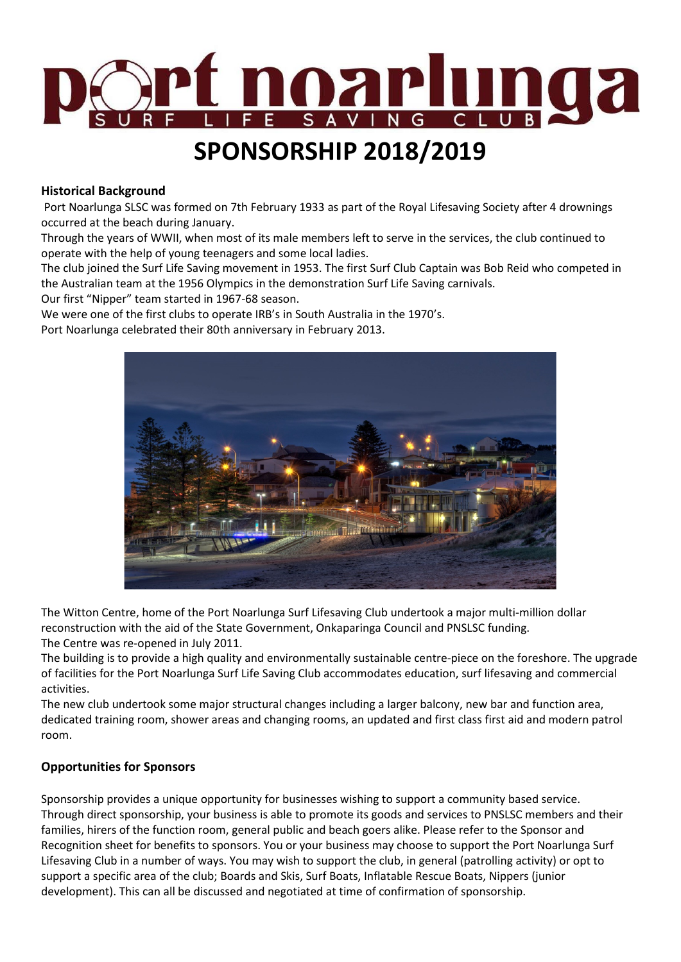

# **SPONSORSHIP 2018/2019**

#### **Historical Background**

Port Noarlunga SLSC was formed on 7th February 1933 as part of the Royal Lifesaving Society after 4 drownings occurred at the beach during January.

Through the years of WWII, when most of its male members left to serve in the services, the club continued to operate with the help of young teenagers and some local ladies.

The club joined the Surf Life Saving movement in 1953. The first Surf Club Captain was Bob Reid who competed in the Australian team at the 1956 Olympics in the demonstration Surf Life Saving carnivals.

Our first "Nipper" team started in 1967-68 season.

We were one of the first clubs to operate IRB's in South Australia in the 1970's.

Port Noarlunga celebrated their 80th anniversary in February 2013.



The Witton Centre, home of the Port Noarlunga Surf Lifesaving Club undertook a major multi-million dollar reconstruction with the aid of the State Government, Onkaparinga Council and PNSLSC funding. The Centre was re-opened in July 2011.

The building is to provide a high quality and environmentally sustainable centre-piece on the foreshore. The upgrade of facilities for the Port Noarlunga Surf Life Saving Club accommodates education, surf lifesaving and commercial activities.

The new club undertook some major structural changes including a larger balcony, new bar and function area, dedicated training room, shower areas and changing rooms, an updated and first class first aid and modern patrol room.

#### **Opportunities for Sponsors**

Sponsorship provides a unique opportunity for businesses wishing to support a community based service. Through direct sponsorship, your business is able to promote its goods and services to PNSLSC members and their families, hirers of the function room, general public and beach goers alike. Please refer to the Sponsor and Recognition sheet for benefits to sponsors. You or your business may choose to support the Port Noarlunga Surf Lifesaving Club in a number of ways. You may wish to support the club, in general (patrolling activity) or opt to support a specific area of the club; Boards and Skis, Surf Boats, Inflatable Rescue Boats, Nippers (junior development). This can all be discussed and negotiated at time of confirmation of sponsorship.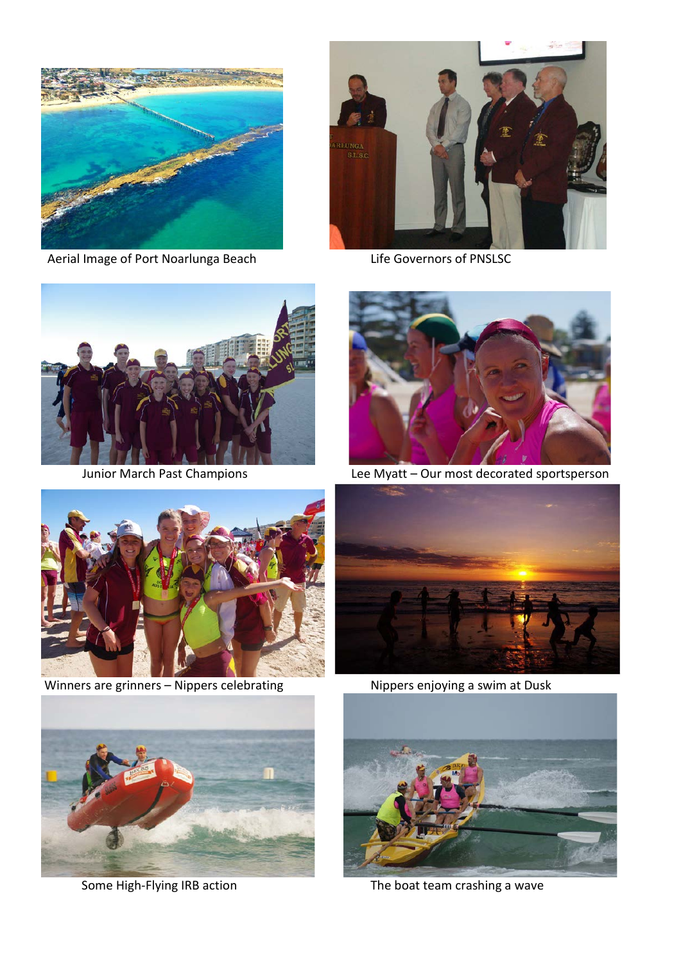

Aerial Image of Port Noarlunga Beach Life Governors of PNSLSC







Junior March Past Champions Lee Myatt – Our most decorated sportsperson



Winners are grinners – Nippers celebrating Nippers enjoying a swim at Dusk







Some High-Flying IRB action The boat team crashing a wave